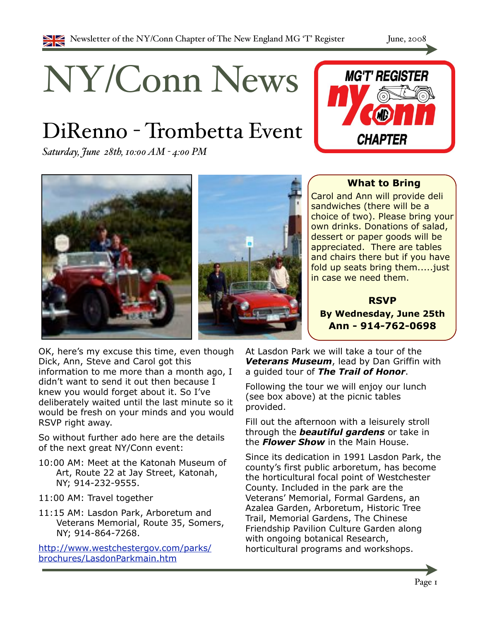# NY/Conn News

## DiRenno - Trombetta Event



*Saturday, June 28th, 10:00 AM ! 4:00 PM*





#### **What to Bring**

Carol and Ann will provide deli sandwiches (there will be a choice of two). Please bring your own drinks. Donations of salad, dessert or paper goods will be appreciated. There are tables and chairs there but if you have fold up seats bring them.....just in case we need them.

**RSVP By Wednesday, June 25th Ann - 914-762-0698**

OK, here's my excuse this time, even though Dick, Ann, Steve and Carol got this information to me more than a month ago, I didn't want to send it out then because I knew you would forget about it. So I've deliberately waited until the last minute so it would be fresh on your minds and you would RSVP right away.

So without further ado here are the details of the next great NY/Conn event:

- 10:00 AM: Meet at the Katonah Museum of Art, Route 22 at Jay Street, Katonah, NY; 914-232-9555.
- 11:00 AM: Travel together
- 11:15 AM: Lasdon Park, Arboretum and Veterans Memorial, Route 35, Somers, NY; 914-864-7268.

[http://www.westchestergov.com/parks/](http://www.westchestergov.com/parks/brochures/LasdonParkmain.htm) [brochures/LasdonParkmain.htm](http://www.westchestergov.com/parks/brochures/LasdonParkmain.htm)

At Lasdon Park we will take a tour of the *Veterans Museum*, lead by Dan Griffin with a guided tour of *The Trail of Honor*.

Following the tour we will enjoy our lunch (see box above) at the picnic tables provided.

Fill out the afternoon with a leisurely stroll through the *beautiful gardens* or take in the *Flower Show* in the Main House.

Since its dedication in 1991 Lasdon Park, the county's first public arboretum, has become the horticultural focal point of Westchester County. Included in the park are the Veterans' Memorial, Formal Gardens, an Azalea Garden, Arboretum, Historic Tree Trail, Memorial Gardens, The Chinese Friendship Pavilion Culture Garden along with ongoing botanical Research, horticultural programs and workshops.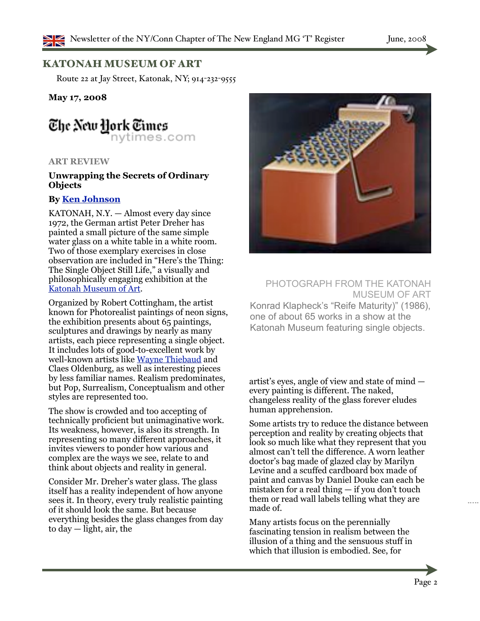KATONAH MUSEUM OF ART

Route 22 at Jay Street, Katonak, NY; 914-232-9555

**May 17, 2008**

### The New Hork Times

nytimes.com

#### **ART REVIEW**

#### **Unwrapping the Secrets of Ordinary Objects**

#### **By [Ken Johnson](http://query.nytimes.com/search/query?ppds=bylL&v1=KEN%20JOHNSON&fdq=19960101&td=sysdate&sort=newest&ac=KEN%20JOHNSON&inline=nyt-per)**

KATONAH, N.Y. — Almost every day since 1972, the German artist Peter Dreher has painted a small picture of the same simple water glass on a white table in a white room. Two of those exemplary exercises in close observation are included in "Here's the Thing: The Single Object Still Life," a visually and philosophically engaging exhibition at the [Katonah Museum of Art.](http://topics.nytimes.com/top/reference/timestopics/organizations/k/katonah_museum_of_art/index.html?inline=nyt-org)

Organized by Robert Cottingham, the artist known for Photorealist paintings of neon signs, the exhibition presents about 65 paintings, sculptures and drawings by nearly as many artists, each piece representing a single object. It includes lots of good-to-excellent work by well-known artists like [Wayne Thiebaud](http://topics.nytimes.com/top/reference/timestopics/people/t/wayne_thiebaud/index.html?inline=nyt-per) and Claes Oldenburg, as well as interesting pieces by less familiar names. Realism predominates, but Pop, Surrealism, Conceptualism and other styles are represented too.

The show is crowded and too accepting of technically proficient but unimaginative work. Its weakness, however, is also its strength. In representing so many different approaches, it invites viewers to ponder how various and complex are the ways we see, relate to and think about objects and reality in general.

Consider Mr. Dreher's water glass. The glass itself has a reality independent of how anyone sees it. In theory, every truly realistic painting of it should look the same. But because everything besides the glass changes from day to day — light, air, the



#### PHOTOGRAPH FROM THE KATONAH MUSEUM OF ART Konrad Klapheck's "Reife Maturity)" (1986), one of about 65 works in a show at the Katonah Museum featuring single objects.

artist's eyes, angle of view and state of mind every painting is different. The naked, changeless reality of the glass forever eludes human apprehension.

Some artists try to reduce the distance between perception and reality by creating objects that look so much like what they represent that you almost can't tell the difference. A worn leather doctor's bag made of glazed clay by Marilyn Levine and a scuffed cardboard box made of paint and canvas by Daniel Douke can each be mistaken for a real thing — if you don't touch them or read wall labels telling what they are made of.

Many artists focus on the perennially fascinating tension in realism between the illusion of a thing and the sensuous stuff in which that illusion is embodied. See, for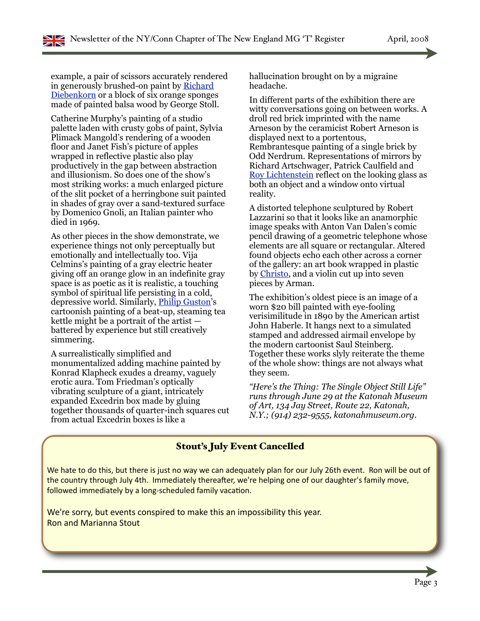example, a pair of scissors accurately rendered in generously brushed-on paint by Richard [Diebenkorn](http://topics.nytimes.com/top/reference/timestopics/people/d/richard_diebenkorn/index.html?inline=nyt-per) or a block of six orange sponges made of painted balsa wood by George Stoll.

Catherine Murphy's painting of a studio palette laden with crusty gobs of paint, Sylvia Plimack Mangold's rendering of a wooden floor and Janet Fish's picture of apples wrapped in reflective plastic also play productively in the gap between abstraction and illusionism. So does one of the show's most striking works: a much enlarged picture of the slit pocket of a herringbone suit painted in shades of gray over a sand-textured surface by Domenico Gnoli, an Italian painter who died in 1969.

As other pieces in the show demonstrate, we experience things not only perceptually but emotionally and intellectually too. Vija Celmins's painting of a gray electric heater giving off an orange glow in an indefinite gray space is as poetic as it is realistic, a touching symbol of spiritual life persisting in a cold, depressive world. Similarly, [Philip Guston'](http://topics.nytimes.com/top/reference/timestopics/people/g/philip_guston/index.html?inline=nyt-per)s cartoonish painting of a beat-up, steaming tea kettle might be a portrait of the artist battered by experience but still creatively simmering.

A surrealistically simplified and monumentalized adding machine painted by Konrad Klapheck exudes a dreamy, vaguely erotic aura. Tom Friedman's optically vibrating sculpture of a giant, intricately expanded Excedrin box made by gluing together thousands of quarter-inch squares cut from actual Excedrin boxes is like a

hallucination brought on by a migraine headache.

In different parts of the exhibition there are witty conversations going on between works. A droll red brick imprinted with the name Arneson by the ceramicist Robert Arneson is displayed next to a portentous, Rembrantesque painting of a single brick by Odd Nerdrum. Representations of mirrors by Richard Artschwager, Patrick Caulfield and [Roy Lichtenstein](http://topics.nytimes.com/top/reference/timestopics/people/l/roy_lichtenstein/index.html?inline=nyt-per) reflect on the looking glass as both an object and a window onto virtual reality.

A distorted telephone sculptured by Robert Lazzarini so that it looks like an anamorphic image speaks with Anton Van Dalen's comic pencil drawing of a geometric telephone whose elements are all square or rectangular. Altered found objects echo each other across a corner of the gallery: an art book wrapped in plastic by [Christo,](http://topics.nytimes.com/top/reference/timestopics/people/c/christo/index.html?inline=nyt-per) and a violin cut up into seven pieces by Arman.

The exhibition's oldest piece is an image of a worn \$20 bill painted with eye-fooling verisimilitude in 1890 by the American artist John Haberle. It hangs next to a simulated stamped and addressed airmail envelope by the modern cartoonist Saul Steinberg. Together these works slyly reiterate the theme of the whole show: things are not always what they seem.

*"Here's the Thing: The Single Object Still Life" runs through June 29 at the Katonah Museum of Art, 134 Jay Street, Route 22, Katonah, N.Y.; (914) 232-9555, katonahmuseum.org.*

#### Stout's July Event Cancelled

We hate to do this, but there is just no way we can adequately plan for our July 26th event. Ron will be out of the country through July 4th. Immediately thereafter, we're helping one of our daughter's family move, followed immediately by a long-scheduled family vacation.

We're sorry, but events conspired to make this an impossibility this year. Ron and Marianna Stout